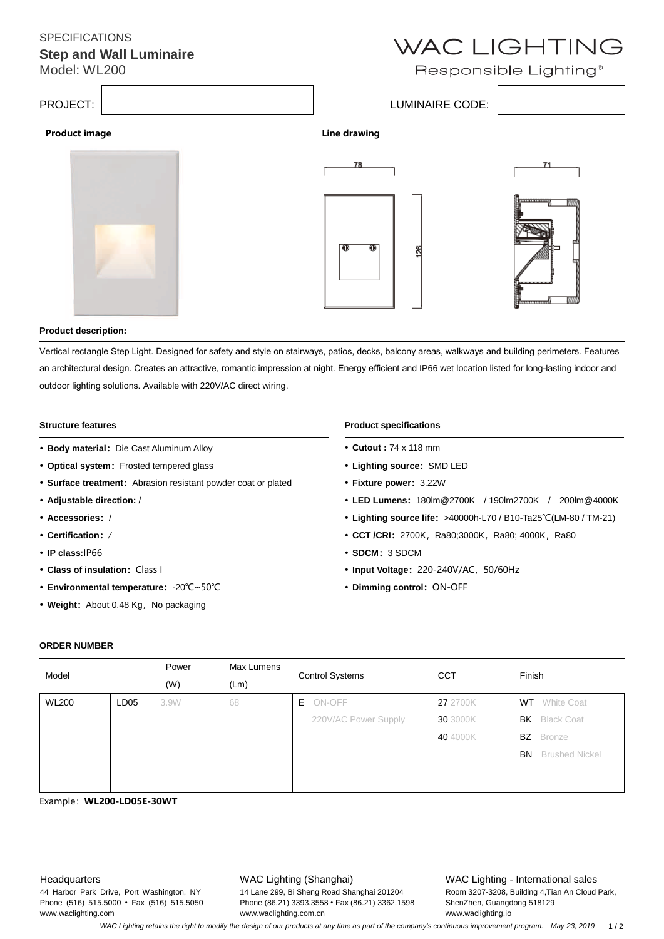## SPECIFICATIONS

### **Step and Wall Luminaire**

Model: WL200

# WAC LIGHTING

Responsible Lighting®

PROJECT: Next and the set of the set of the set of the set of the set of the set of the set of the set of the set of the set of the set of the set of the set of the set of the set of the set of the set of the set of the se

#### Product image **Line drawing**





#### **Product description:**

Vertical rectangle Step Light. Designed for safety and style on stairways, patios, decks, balcony areas, walkways and building perimeters. Features an architectural design. Creates an attractive, romantic impression at night. Energy efficient and IP66 wet location listed for long-lasting indoor and outdoor lighting solutions. Available with 220V/AC direct wiring.

#### **Structure features**

- **Body material: Die Cast Aluminum Alloy**
- Optical system: Frosted tempered glass
- Surface treatment: Abrasion resistant powder coat or plated
- **Adjustable direction:** /
- **Accessories**:/
- **Certification**:*/*
- **IP class:**IP66
- **Class of insulation**:Class I
- **Environmental temperature**:-20℃~50℃
- Weight: About 0.48 Kg, No packaging

#### **Product specifications**

- **Cutout :** 74 x 118 mm
- **Lighting source**:SMD LED
- **Fixture power**:3.22W
- **LED Lumens**:180lm@2700K / 190lm2700K / 200lm@4000K
- **Lighting source life**:>40000h-L70 / B10-Ta25℃(LM-80 / TM-21)
- CCT/CRI: 2700K, Ra80;3000K, Ra80; 4000K, Ra80
- **SDCM**:3 SDCM
- **Input Voltage**:220-240V/AC,50/60Hz
- **Dimming control: ON-OFF**

#### **ORDER NUMBER**

| Model        |                  | Power | Max Lumens | <b>Control Systems</b> | <b>CCT</b> | Finish                      |
|--------------|------------------|-------|------------|------------------------|------------|-----------------------------|
|              |                  | (W)   | (Lm)       |                        |            |                             |
| <b>WL200</b> | LD <sub>05</sub> | 3.9W  | 68         | E ON-OFF               | 27 2700K   | <b>White Coat</b><br>WT     |
|              |                  |       |            | 220V/AC Power Supply   | 30 3000K   | <b>Black Coat</b><br>BK     |
|              |                  |       |            |                        | 40 4000K   | BZ.<br>Bronze               |
|              |                  |       |            |                        |            | <b>Brushed Nickel</b><br>BN |
|              |                  |       |            |                        |            |                             |
|              |                  |       |            |                        |            |                             |

Example: WL200-LD05E-30WT

**Headquarters** 

44 Harbor Park Drive, Port Washington, NY Phone (516) 515.5000 • Fax (516) 515.5050 www.waclighting.com

#### WAC Lighting (Shanghai)

14 Lane 299, Bi Sheng Road Shanghai 201204 Phone (86.21) 3393.3558 • Fax (86.21) 3362.1598 www.waclighting.com.cn

WAC Lighting - International sales Room 3207-3208, Building 4,Tian An Cloud Park, ShenZhen, Guangdong 518129 www.waclighting.io

*WAC Lighting retains the right to modify the design of our products at any time as part of the company's continuous improvement program. May 23, 2019* 1 / 2